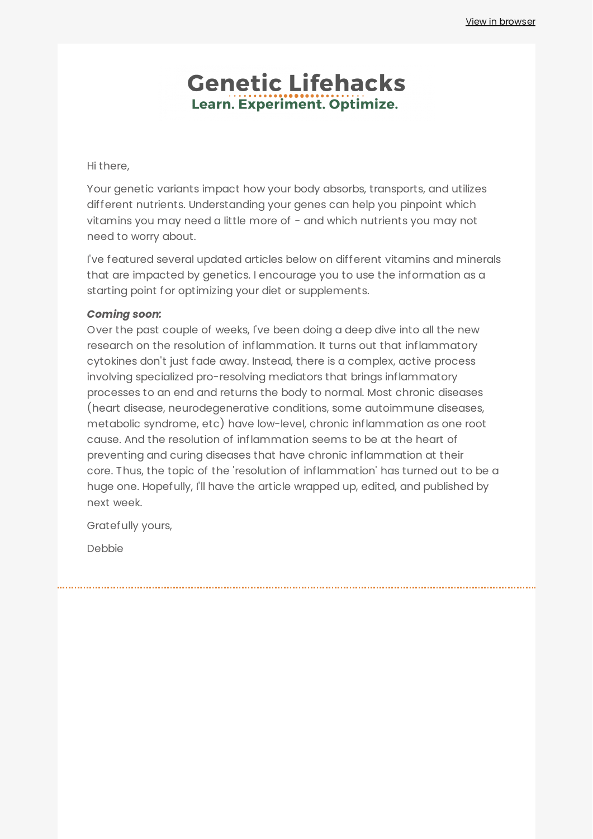### **Genetic Lifehacks** Learn. Experiment. Optimize.

#### Hi there,

Your genetic variants impact how your body absorbs, transports, and utilizes different nutrients. Understanding your genes can help you pinpoint which vitamins you may need a little more of - and which nutrients you may not need to worry about.

I've featured several updated articles below on different vitamins and minerals that are impacted by genetics. I encourage you to use the information as a starting point for optimizing your diet or supplements.

#### *Coming soon:*

Over the past couple of weeks, I've been doing a deep dive into all the new research on the resolution of inflammation. It turns out that inflammatory cytokines don't just fade away. Instead, there is a complex, active process involving specialized pro-resolving mediators that brings inflammatory processes to an end and returns the body to normal. Most chronic diseases (heart disease, neurodegenerative conditions, some autoimmune diseases, metabolic syndrome, etc) have low-level, chronic inflammation as one root cause. And the resolution of inflammation seems to be at the heart of preventing and curing diseases that have chronic inflammation at their core. Thus, the topic of the 'resolution of inflammation' has turned out to be a huge one. Hopefully, I'll have the article wrapped up, edited, and published by next week.

Gratefully yours,

Debbie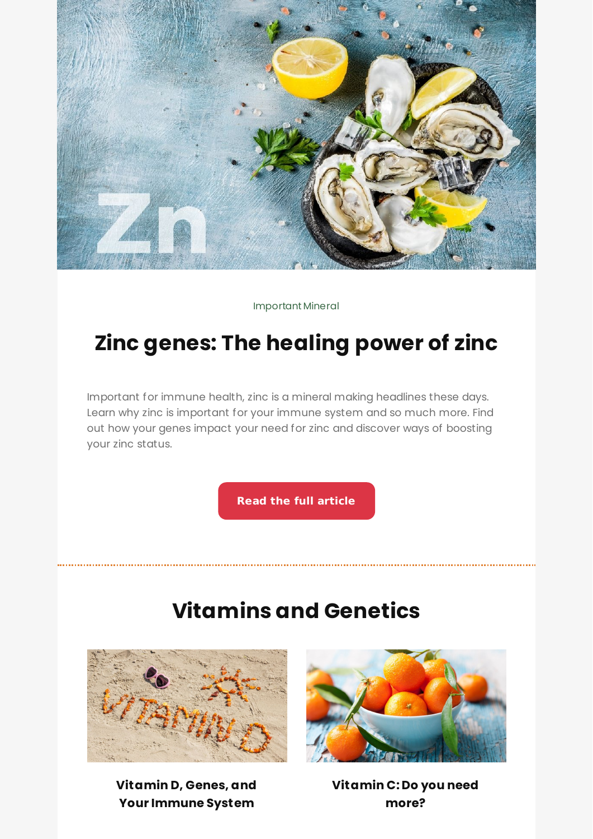

Important Mineral

# **Zinc genes: The [healing](https://www.geneticlifehacks.com/zinc-genes-the-healing-power-of-zinc/) power of zinc**

Important for immune health, zinc is a mineral making headlines these days. Learn why zinc is important for your immune system and so much more. Find out how your genes impact your need for zinc and discover ways of boosting your zinc status.

**Read the full [article](https://www.geneticlifehacks.com/zinc-genes-the-healing-power-of-zinc/)**

# **Vitamins and Genetics**



**Vitamin D, Genes, and Your [Immune](https://www.geneticlifehacks.com/vitamin-d-genes-and-your-immune-system/) System**



**[Vitamin](https://www.geneticlifehacks.com/should-you-increase-your-vitamin-c-intake-genetics-and-vitamin-c-absorption/) C: Do you need more?**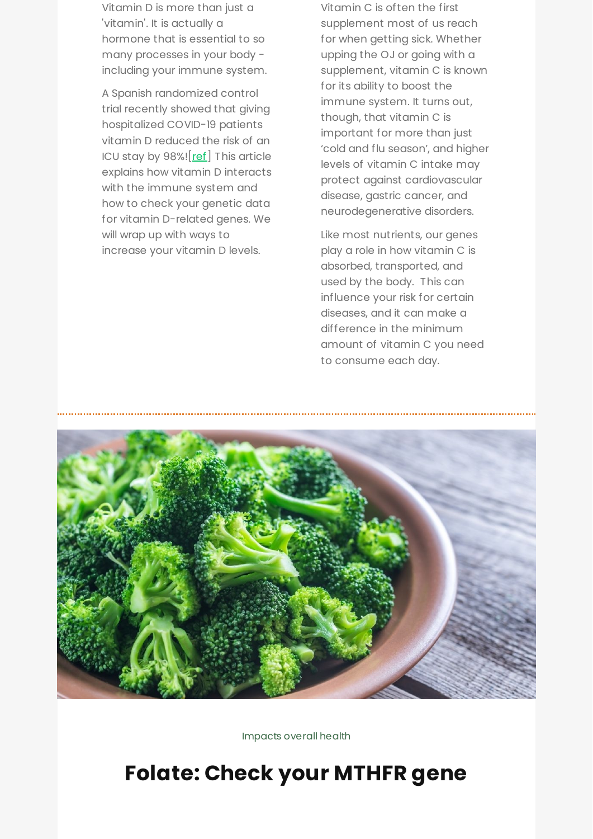Vitamin D is more than just a 'vitamin'. It is actually a hormone that is essential to so many processes in your body including your immune system.

A Spanish randomized control trial recently showed that giving hospitalized COVID-19 patients vitamin D reduced the risk of an ICU stay by  $98\%$ !  $[ref]$  $[ref]$  This article explains how vitamin D interacts with the immune system and how to check your genetic data for vitamin D-related genes. We will wrap up with ways to increase your vitamin D levels.

Vitamin C is often the first supplement most of us reach for when getting sick. Whether upping the OJ or going with a supplement, vitamin C is known for its ability to boost the immune system. It turns out, though, that vitamin C is important for more than just 'cold and flu season', and higher levels of vitamin C intake may protect against cardiovascular disease, gastric cancer, and neurodegenerative disorders.

Like most nutrients, our genes play a role in how vitamin C is absorbed, transported, and used by the body. This can influence your risk for certain diseases, and it can make a difference in the minimum amount of vitamin C you need to consume each day.



Impacts overall health

## **[Folate:](https://www.geneticlifehacks.com/mthfr/) Check your MTHFR gene**